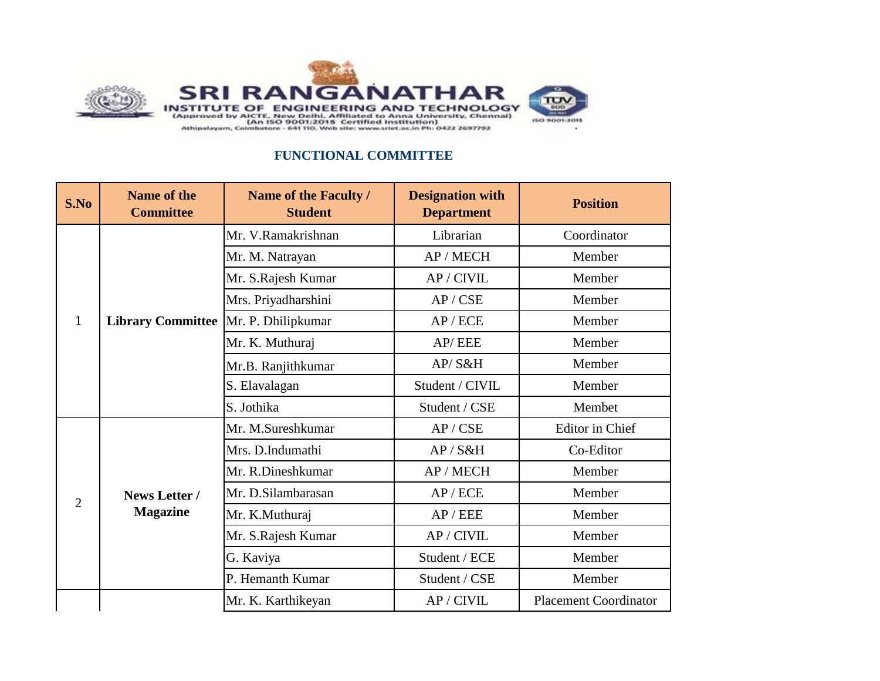

## **FUNCTIONAL COMMITTEE**

| S.No           | Name of the<br><b>Committee</b>                                                     | Name of the Faculty /<br><b>Student</b> | <b>Designation with</b><br><b>Department</b> | <b>Position</b>              |
|----------------|-------------------------------------------------------------------------------------|-----------------------------------------|----------------------------------------------|------------------------------|
| $\mathbf{1}$   | <b>Library Committee</b>                                                            | Mr. V.Ramakrishnan                      | Librarian                                    | Coordinator                  |
|                |                                                                                     | Mr. M. Natrayan                         | AP / MECH                                    | Member                       |
|                |                                                                                     | Mr. S.Rajesh Kumar                      | AP / CIVIL                                   | Member                       |
|                |                                                                                     | Mrs. Priyadharshini                     | AP / CSE                                     | Member                       |
|                |                                                                                     | Mr. P. Dhilipkumar                      | AP/ECE                                       | Member                       |
|                |                                                                                     | Mr. K. Muthuraj                         | AP/EEE                                       | Member                       |
|                |                                                                                     | Mr.B. Ranjithkumar                      | AP/S&H                                       | Member                       |
|                |                                                                                     | S. Elavalagan                           | Student / CIVIL                              | Member                       |
|                |                                                                                     | S. Jothika                              | Student / CSE                                | Membet                       |
|                | Mrs. D.Indumathi<br>News Letter /<br><b>Magazine</b><br>Mr. K.Muthuraj<br>G. Kaviya | Mr. M.Sureshkumar                       | AP / CSE                                     | <b>Editor</b> in Chief       |
|                |                                                                                     |                                         | AP / S&H                                     | Co-Editor                    |
|                |                                                                                     | Mr. R.Dineshkumar                       | AP / MECH                                    | Member                       |
|                |                                                                                     | Mr. D.Silambarasan                      | AP/ECE                                       | Member                       |
| $\overline{2}$ |                                                                                     |                                         | AP/EEE                                       | Member                       |
|                |                                                                                     | Mr. S.Rajesh Kumar                      | AP / CIVIL                                   | Member                       |
|                |                                                                                     |                                         | Student / ECE                                | Member                       |
|                |                                                                                     | P. Hemanth Kumar                        | Student / CSE                                | Member                       |
|                |                                                                                     | Mr. K. Karthikeyan                      | AP / CIVIL                                   | <b>Placement Coordinator</b> |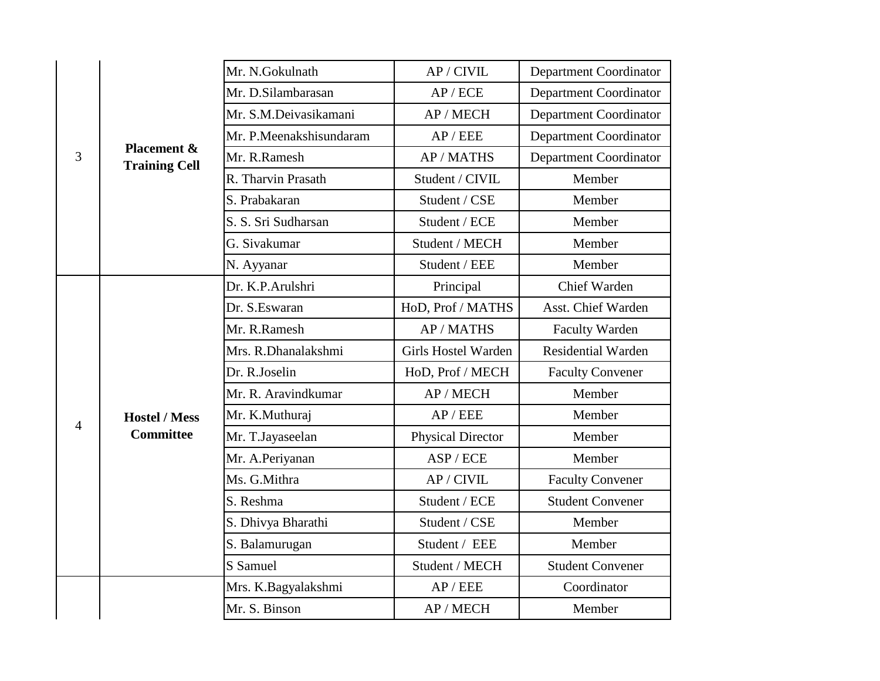| 3              | Placement &<br><b>Training Cell</b> | Mr. N.Gokulnath<br>AP / CIVIL      |                            | <b>Department Coordinator</b> |
|----------------|-------------------------------------|------------------------------------|----------------------------|-------------------------------|
|                |                                     | Mr. D.Silambarasan<br>AP/ECE       |                            | Department Coordinator        |
|                |                                     | Mr. S.M.Deivasikamani<br>AP / MECH |                            | <b>Department Coordinator</b> |
|                |                                     | Mr. P.Meenakshisundaram            | AP/EEE                     | Department Coordinator        |
|                |                                     | Mr. R.Ramesh                       | AP / MATHS                 | <b>Department Coordinator</b> |
|                |                                     | R. Tharvin Prasath                 | Student / CIVIL            | Member                        |
|                |                                     | S. Prabakaran                      | Student / CSE              | Member                        |
|                |                                     | S. S. Sri Sudharsan                | Student / ECE              | Member                        |
|                |                                     | G. Sivakumar                       | Student / MECH             | Member                        |
|                |                                     | N. Ayyanar                         | Student / EEE              | Member                        |
|                |                                     | Dr. K.P.Arulshri                   | Principal                  | Chief Warden                  |
|                |                                     | Dr. S.Eswaran                      | HoD, Prof / MATHS          | Asst. Chief Warden            |
|                |                                     | Mr. R.Ramesh                       | AP / MATHS                 | Faculty Warden                |
|                |                                     | Mrs. R.Dhanalakshmi                | <b>Girls Hostel Warden</b> | <b>Residential Warden</b>     |
|                | <b>Hostel / Mess</b>                | Dr. R.Joselin                      | HoD, Prof / MECH           | <b>Faculty Convener</b>       |
|                |                                     | Mr. R. Aravindkumar                | AP / MECH                  | Member                        |
| $\overline{4}$ |                                     | Mr. K.Muthuraj                     | AP/EEE                     | Member                        |
|                | <b>Committee</b>                    | Mr. T.Jayaseelan                   | <b>Physical Director</b>   | Member                        |
|                |                                     | Mr. A.Periyanan                    | ASP / ECE                  | Member                        |
|                |                                     | Ms. G.Mithra                       | AP / CIVIL                 | <b>Faculty Convener</b>       |
|                |                                     | S. Reshma                          | Student / ECE              | <b>Student Convener</b>       |
|                |                                     | S. Dhivya Bharathi                 | Student / CSE              | Member                        |
|                |                                     | S. Balamurugan                     | Student / EEE              | Member                        |
|                |                                     | S Samuel                           | Student / MECH             | <b>Student Convener</b>       |
|                |                                     | Mrs. K.Bagyalakshmi                | AP/EEE                     | Coordinator                   |
|                |                                     | Mr. S. Binson                      | AP / MECH                  | Member                        |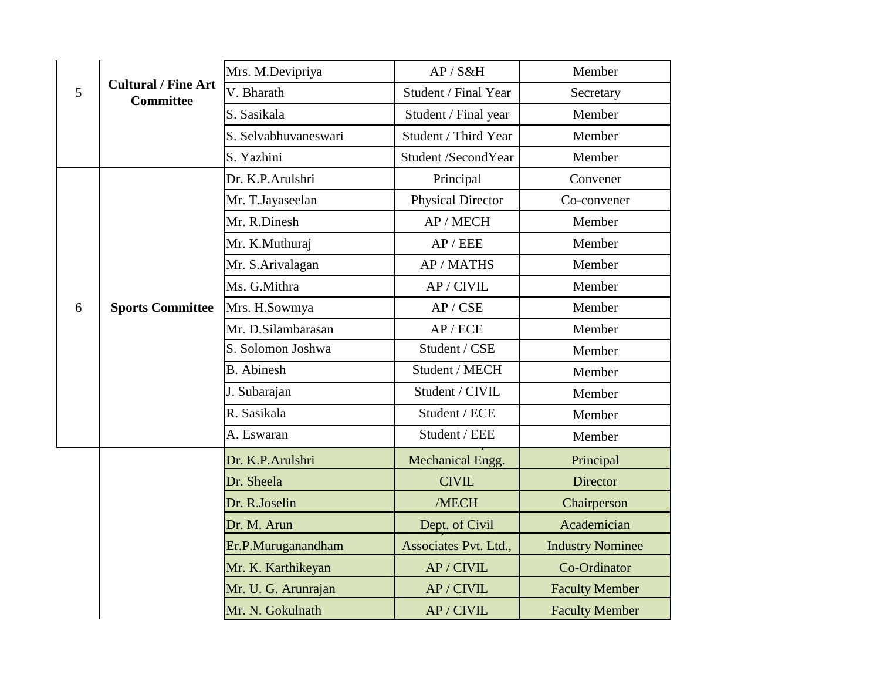|   |                                                | Mrs. M.Devipriya<br>AP / S&H |                       | Member                  |
|---|------------------------------------------------|------------------------------|-----------------------|-------------------------|
| 5 | <b>Cultural / Fine Art</b><br><b>Committee</b> | V. Bharath                   | Student / Final Year  | Secretary               |
|   |                                                | S. Sasikala                  | Student / Final year  | Member                  |
|   |                                                | S. Selvabhuvaneswari         | Student / Third Year  | Member                  |
|   |                                                | S. Yazhini                   | Student /SecondYear   | Member                  |
|   |                                                | Dr. K.P.Arulshri             | Principal             | Convener                |
|   |                                                | Mr. T.Jayaseelan             | Physical Director     | Co-convener             |
|   |                                                | Mr. R.Dinesh                 | AP / MECH             | Member                  |
|   |                                                | Mr. K.Muthuraj               | AP/EEE                | Member                  |
|   |                                                | Mr. S.Arivalagan             | AP / MATHS            | Member                  |
|   |                                                | Ms. G.Mithra                 | AP / CIVIL            | Member                  |
| 6 | <b>Sports Committee</b>                        | Mrs. H.Sowmya                | AP / CSE              | Member                  |
|   |                                                | Mr. D.Silambarasan           | AP/ECE                | Member                  |
|   |                                                | S. Solomon Joshwa            | Student / CSE         | Member                  |
|   |                                                | <b>B.</b> Abinesh            | Student / MECH        | Member                  |
|   |                                                | J. Subarajan                 | Student / CIVIL       | Member                  |
|   |                                                | R. Sasikala                  | Student / ECE         | Member                  |
|   |                                                | A. Eswaran                   | Student / EEE         | Member                  |
|   |                                                | Dr. K.P.Arulshri             | Mechanical Engg.      | Principal               |
|   |                                                | Dr. Sheela                   | <b>CIVIL</b>          | <b>Director</b>         |
|   |                                                | Dr. R.Joselin                | /MECH                 | Chairperson             |
|   |                                                | Dr. M. Arun                  | Dept. of Civil        | Academician             |
|   |                                                | Er.P.Muruganandham           | Associates Pvt. Ltd., | <b>Industry Nominee</b> |
|   |                                                | Mr. K. Karthikeyan           | AP / CIVIL            | Co-Ordinator            |
|   |                                                | Mr. U. G. Arunrajan          | AP / CIVIL            | <b>Faculty Member</b>   |
|   |                                                | Mr. N. Gokulnath             | AP / CIVIL            | <b>Faculty Member</b>   |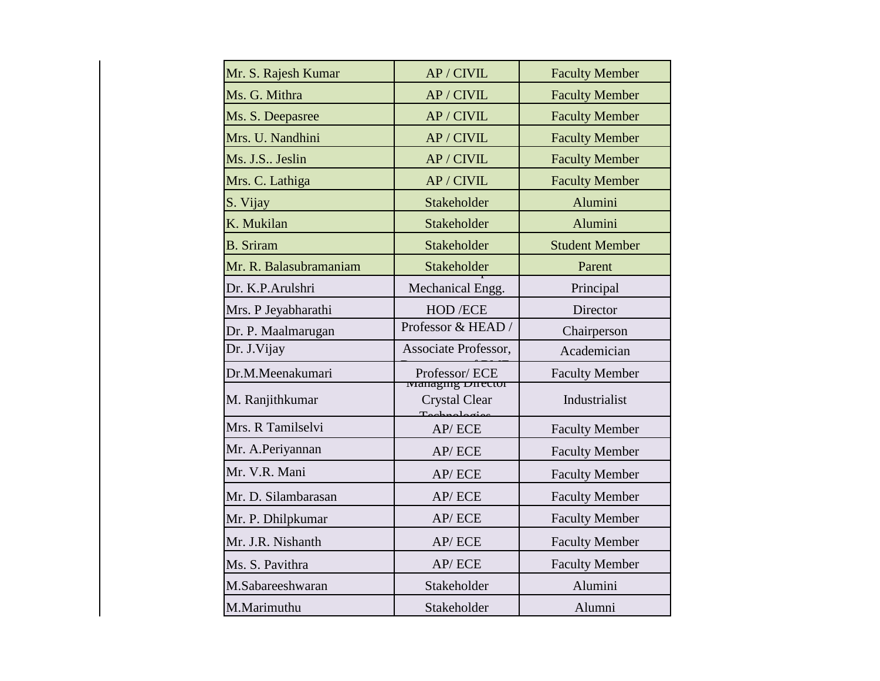| Mr. S. Rajesh Kumar    | AP / CIVIL                                | <b>Faculty Member</b> |
|------------------------|-------------------------------------------|-----------------------|
| Ms. G. Mithra          | AP / CIVIL                                | <b>Faculty Member</b> |
| Ms. S. Deepasree       | AP / CIVIL                                | <b>Faculty Member</b> |
| Mrs. U. Nandhini       | AP / CIVIL                                | <b>Faculty Member</b> |
| Ms. J.S Jeslin         | AP / CIVIL                                | <b>Faculty Member</b> |
| Mrs. C. Lathiga        | AP / CIVIL                                | <b>Faculty Member</b> |
| S. Vijay               | Stakeholder                               | Alumini               |
| K. Mukilan             | Stakeholder                               | Alumini               |
| <b>B.</b> Sriram       | Stakeholder                               | <b>Student Member</b> |
| Mr. R. Balasubramaniam | Stakeholder                               | Parent                |
| Dr. K.P.Arulshri       | Mechanical Engg.                          | Principal             |
| Mrs. P Jeyabharathi    | HOD /ECE                                  | Director              |
| Dr. P. Maalmarugan     | Professor & HEAD /                        | Chairperson           |
| Dr. J. Vijay           | Associate Professor,                      | Academician           |
| Dr.M.Meenakumari       | Professor/ECE<br><b>Managing Director</b> | <b>Faculty Member</b> |
| M. Ranjithkumar        | <b>Crystal Clear</b><br>Tachnalacio       | Industrialist         |
| Mrs. R Tamilselvi      | AP/ECE                                    | <b>Faculty Member</b> |
| Mr. A.Periyannan       | AP/ECE                                    | <b>Faculty Member</b> |
| Mr. V.R. Mani          | AP/ECE                                    | <b>Faculty Member</b> |
| Mr. D. Silambarasan    | AP/ECE                                    | <b>Faculty Member</b> |
| Mr. P. Dhilpkumar      | AP/ECE                                    | <b>Faculty Member</b> |
| Mr. J.R. Nishanth      | AP/ECE                                    | <b>Faculty Member</b> |
| Ms. S. Pavithra        | AP/ECE                                    | <b>Faculty Member</b> |
| M.Sabareeshwaran       | Stakeholder                               | Alumini               |
| M.Marimuthu            | Stakeholder                               | Alumni                |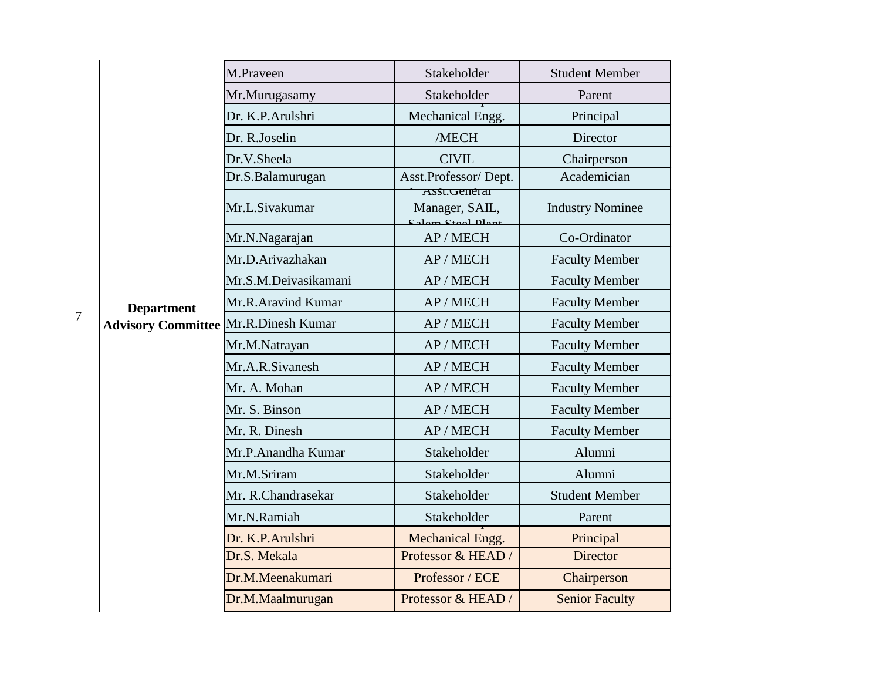|                |                                                | M.Praveen            | Stakeholder                                          | <b>Student Member</b>   |
|----------------|------------------------------------------------|----------------------|------------------------------------------------------|-------------------------|
|                |                                                | Mr.Murugasamy        | Stakeholder                                          | Parent                  |
|                |                                                | Dr. K.P.Arulshri     | Mechanical Engg.                                     | Principal               |
|                |                                                | Dr. R.Joselin        | /MECH                                                | Director                |
|                |                                                | Dr.V.Sheela          | <b>CIVIL</b>                                         | Chairperson             |
|                |                                                | Dr.S.Balamurugan     | Asst.Professor/Dept.                                 | Academician             |
|                |                                                | Mr.L.Sivakumar       | Asst. General<br>Manager, SAIL,<br>Colom Stool Dlant | <b>Industry Nominee</b> |
|                |                                                | Mr.N.Nagarajan       | AP / MECH                                            | Co-Ordinator            |
|                | <b>Department</b><br><b>Advisory Committee</b> | Mr.D.Arivazhakan     | AP / MECH                                            | <b>Faculty Member</b>   |
|                |                                                | Mr.S.M.Deivasikamani | AP / MECH                                            | <b>Faculty Member</b>   |
|                |                                                | Mr.R.Aravind Kumar   | AP / MECH                                            | <b>Faculty Member</b>   |
| $\overline{7}$ |                                                | Mr.R.Dinesh Kumar    | AP / MECH                                            | <b>Faculty Member</b>   |
|                |                                                | Mr.M.Natrayan        | AP / MECH                                            | <b>Faculty Member</b>   |
|                |                                                | Mr.A.R.Sivanesh      | AP / MECH                                            | <b>Faculty Member</b>   |
|                |                                                | Mr. A. Mohan         | AP / MECH                                            | <b>Faculty Member</b>   |
|                |                                                | Mr. S. Binson        | AP / MECH                                            | <b>Faculty Member</b>   |
|                |                                                | Mr. R. Dinesh        | AP / MECH                                            | <b>Faculty Member</b>   |
|                |                                                | Mr.P.Anandha Kumar   | Stakeholder                                          | Alumni                  |
|                |                                                | Mr.M.Sriram          | Stakeholder                                          | Alumni                  |
|                |                                                | Mr. R.Chandrasekar   | Stakeholder                                          | <b>Student Member</b>   |
|                |                                                | Mr.N.Ramiah          | Stakeholder                                          | Parent                  |
|                |                                                | Dr. K.P.Arulshri     | Mechanical Engg.                                     | Principal               |
|                |                                                | Dr.S. Mekala         | Professor & HEAD /                                   | Director                |
|                |                                                | Dr.M.Meenakumari     | Professor / ECE                                      | Chairperson             |
|                |                                                | Dr.M.Maalmurugan     | Professor & HEAD /                                   | <b>Senior Faculty</b>   |
|                |                                                |                      |                                                      |                         |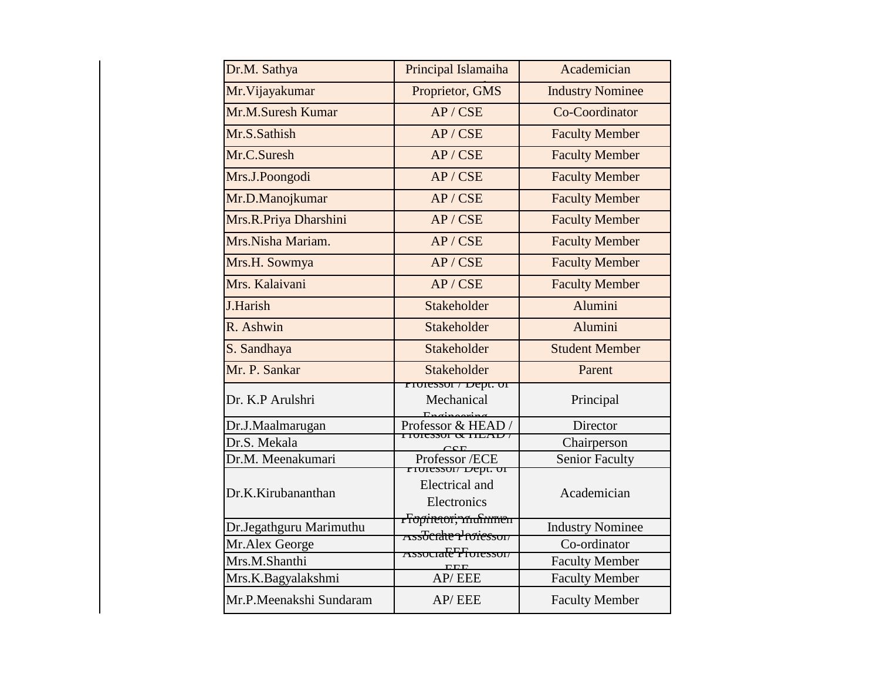| Dr.M. Sathya            | Principal Islamaiha                                       | Academician             |
|-------------------------|-----------------------------------------------------------|-------------------------|
| Mr. Vijayakumar         | Proprietor, GMS                                           | <b>Industry Nominee</b> |
| Mr.M.Suresh Kumar       | AP / CSE                                                  | Co-Coordinator          |
| Mr.S.Sathish            | AP / CSE                                                  | <b>Faculty Member</b>   |
| Mr.C.Suresh             | AP / CSE                                                  | <b>Faculty Member</b>   |
| Mrs.J.Poongodi          | AP / CSE                                                  | <b>Faculty Member</b>   |
| Mr.D.Manojkumar         | AP / CSE                                                  | <b>Faculty Member</b>   |
| Mrs.R.Priya Dharshini   | AP / CSE                                                  | <b>Faculty Member</b>   |
| Mrs. Nisha Mariam.      | AP / CSE                                                  | <b>Faculty Member</b>   |
| Mrs.H. Sowmya           | AP / CSE                                                  | <b>Faculty Member</b>   |
| Mrs. Kalaivani          | AP / CSE                                                  | <b>Faculty Member</b>   |
| J.Harish                | Stakeholder                                               | Alumini                 |
| R. Ashwin               | Stakeholder                                               | Alumini                 |
| S. Sandhaya             | Stakeholder                                               | <b>Student Member</b>   |
| Mr. P. Sankar           | Stakeholder                                               | Parent                  |
| Dr. K.P Arulshri        | <u>rioiessor / Dept. or</u><br>Mechanical                 | Principal               |
| Dr.J.Maalmarugan        | Professor & HEAD /<br>$F101$ CSSUL $\alpha$ TIEAD $t$     | Director                |
| Dr.S. Mekala            |                                                           | Chairperson             |
| Dr.M. Meenakumari       | Professor/ECE<br>TTOIESSOI/DEpt. OF                       | <b>Senior Faculty</b>   |
| Dr.K.Kirubananthan      | Electrical and<br>Electronics                             | Academician             |
| Dr.Jegathguru Marimuthu | <del>rTopiretori; mustumen i</del><br>Assocrate Professor | <b>Industry Nominee</b> |
| Mr.Alex George          |                                                           | Co-ordinator            |
| Mrs.M.Shanthi           | Associale Horesson<br>EEE                                 | <b>Faculty Member</b>   |
| Mrs.K.Bagyalakshmi      | AP/EEE                                                    | <b>Faculty Member</b>   |
| Mr.P.Meenakshi Sundaram | AP/EEE                                                    | <b>Faculty Member</b>   |